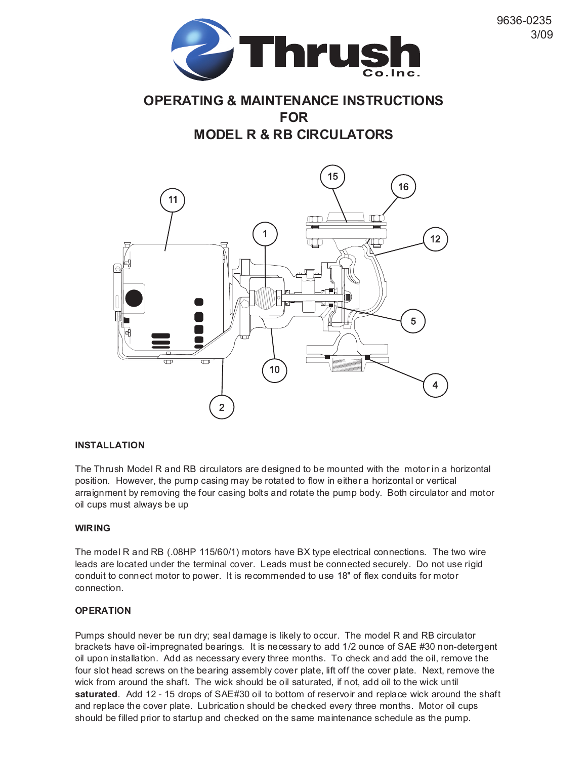

9636-0235

3/09

# **OPERATING & MAINTENANCE INSTRUCTIONS FOR**

**MODEL R & RB CIRCULATORS**



### **INSTALLATION**

The Thrush Model R and RB circulators are designed to be mounted with the motor in a horizontal position. However, the pump casing may be rotated to flow in either a horizontal or vertical arraignment by removing the four casing bolts and rotate the pump body. Both circulator and motor oil cups must always be up

#### **WIRING**

The model R and RB (.08HP 115/60/1) motors have BX type electrical connections. The two wire leads are located under the terminal cover. Leads must be connected securely. Do not use rigid conduit to connect motor to power. It is recommended to use 18" of flex conduits for motor connection.

#### **OPERATION**

Pumps should never be run dry; seal damage is likely to occur. The model R and RB circulator brackets have oil-impregnated bearings. It is necessary to add 1/2 ounce of SAE #30 non-detergent oil upon installation. Add as necessary every three months. To check and add the oil, remove the four slot head screws on the bearing assembly cover plate, lift off the cover plate. Next, remove the wick from around the shaft. The wick should be oil saturated, if not, add oil to the wick until **saturated**. Add 12 - 15 drops of SAE#30 oil to bottom of reservoir and replace wick around the shaft and replace the cover plate. Lubrication should be checked every three months. Motor oil cups should be filled prior to startup and checked on the same maintenance schedule as the pump.